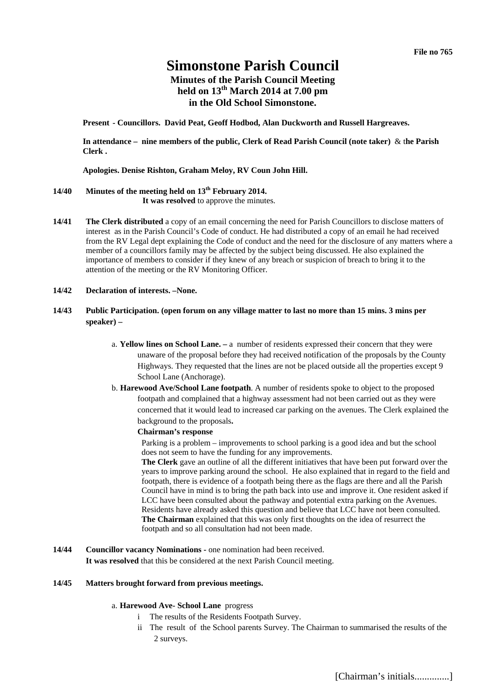# **Simonstone Parish Council**

# **Minutes of the Parish Council Meeting held on 13th March 2014 at 7.00 pm in the Old School Simonstone.**

**Present - Councillors. David Peat, Geoff Hodbod, Alan Duckworth and Russell Hargreaves.** 

**In attendance – nine members of the public, Clerk of Read Parish Council (note taker)** & t**he Parish Clerk .** 

**Apologies. Denise Rishton, Graham Meloy, RV Coun John Hill.** 

# **14/40 Minutes of the meeting held on 13th February 2014.**

**It was resolved** to approve the minutes.

- **14/41 The Clerk distributed** a copy of an email concerning the need for Parish Councillors to disclose matters of interest as in the Parish Council's Code of conduct. He had distributed a copy of an email he had received from the RV Legal dept explaining the Code of conduct and the need for the disclosure of any matters where a member of a councillors family may be affected by the subject being discussed. He also explained the importance of members to consider if they knew of any breach or suspicion of breach to bring it to the attention of the meeting or the RV Monitoring Officer.
- **14/42 Declaration of interests. –None.**
- **14/43 Public Participation. (open forum on any village matter to last no more than 15 mins. 3 mins per speaker) –** 
	- a. **Yellow lines on School Lane.** a number of residents expressed their concern that they were unaware of the proposal before they had received notification of the proposals by the County Highways. They requested that the lines are not be placed outside all the properties except 9 School Lane (Anchorage).
	- b. **Harewood Ave/School Lane footpath**. A number of residents spoke to object to the proposed footpath and complained that a highway assessment had not been carried out as they were concerned that it would lead to increased car parking on the avenues. The Clerk explained the background to the proposals**.**

### **Chairman's response**

Parking is a problem – improvements to school parking is a good idea and but the school does not seem to have the funding for any improvements.

**The Clerk** gave an outline of all the different initiatives that have been put forward over the years to improve parking around the school. He also explained that in regard to the field and footpath, there is evidence of a footpath being there as the flags are there and all the Parish Council have in mind is to bring the path back into use and improve it. One resident asked if LCC have been consulted about the pathway and potential extra parking on the Avenues. Residents have already asked this question and believe that LCC have not been consulted. **The Chairman** explained that this was only first thoughts on the idea of resurrect the footpath and so all consultation had not been made.

**14/44 Councillor vacancy Nominations - one nomination had been received. It was resolved** that this be considered at the next Parish Council meeting.

### **14/45 Matters brought forward from previous meetings.**

#### a. **Harewood Ave- School Lane** progress

- i The results of the Residents Footpath Survey.
- ii The result of the School parents Survey. The Chairman to summarised the results of the 2 surveys.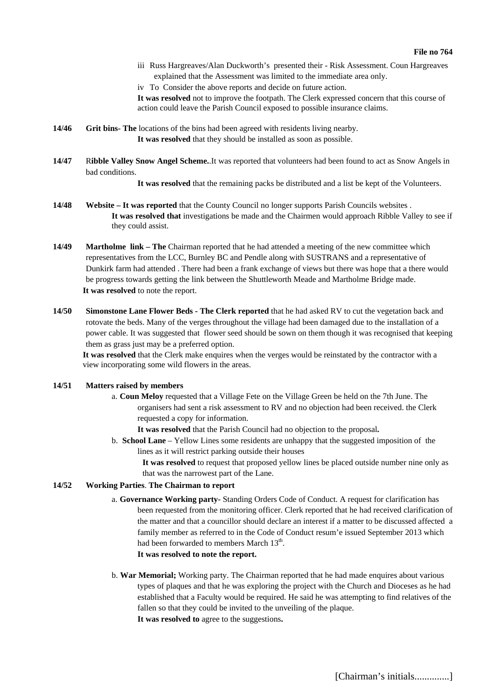#### **File no 764**

- iii Russ Hargreaves/Alan Duckworth's presented their Risk Assessment. Coun Hargreaves explained that the Assessment was limited to the immediate area only.
- iv To Consider the above reports and decide on future action.
- **It was resolved** not to improve the footpath. The Clerk expressed concern that this course of action could leave the Parish Council exposed to possible insurance claims.
- **14/46 Grit bins- The** locations of the bins had been agreed with residents living nearby. **It was resolved** that they should be installed as soon as possible.
- **14/47** R**ibble Valley Snow Angel Scheme.**.It was reported that volunteers had been found to act as Snow Angels in bad conditions.

**It was resolved** that the remaining packs be distributed and a list be kept of the Volunteers.

- **14/48 Website It was reported** that the County Council no longer supports Parish Councils websites . **It was resolved that** investigations be made and the Chairmen would approach Ribble Valley to see if they could assist.
- **14/49 Martholme link The** Chairman reported that he had attended a meeting of the new committee which representatives from the LCC, Burnley BC and Pendle along with SUSTRANS and a representative of Dunkirk farm had attended . There had been a frank exchange of views but there was hope that a there would be progress towards getting the link between the Shuttleworth Meade and Martholme Bridge made. **It was resolved** to note the report.
- **14/50 Simonstone Lane Flower Beds The Clerk reported** that he had asked RV to cut the vegetation back and rotovate the beds. Many of the verges throughout the village had been damaged due to the installation of a power cable. It was suggested that flower seed should be sown on them though it was recognised that keeping them as grass just may be a preferred option.

**It was resolved** that the Clerk make enquires when the verges would be reinstated by the contractor with a view incorporating some wild flowers in the areas.

#### **14/51 Matters raised by members**

a. **Coun Meloy** requested that a Village Fete on the Village Green be held on the 7th June. The organisers had sent a risk assessment to RV and no objection had been received. the Clerk requested a copy for information.

**It was resolved** that the Parish Council had no objection to the proposal**.**

b. **School Lane** – Yellow Lines some residents are unhappy that the suggested imposition of the lines as it will restrict parking outside their houses

**It was resolved** to request that proposed yellow lines be placed outside number nine only as that was the narrowest part of the Lane.

### **14/52 Working Parties**. **The Chairman to report**

- a. **Governance Working party-** Standing Orders Code of Conduct. A request for clarification has been requested from the monitoring officer. Clerk reported that he had received clarification of the matter and that a councillor should declare an interest if a matter to be discussed affected a family member as referred to in the Code of Conduct resum'e issued September 2013 which had been forwarded to members March 13<sup>th</sup>. **It was resolved to note the report.**
- b. **War Memorial;** Working party. The Chairman reported that he had made enquires about various types of plaques and that he was exploring the project with the Church and Dioceses as he had established that a Faculty would be required. He said he was attempting to find relatives of the fallen so that they could be invited to the unveiling of the plaque. **It was resolved to** agree to the suggestions**.**